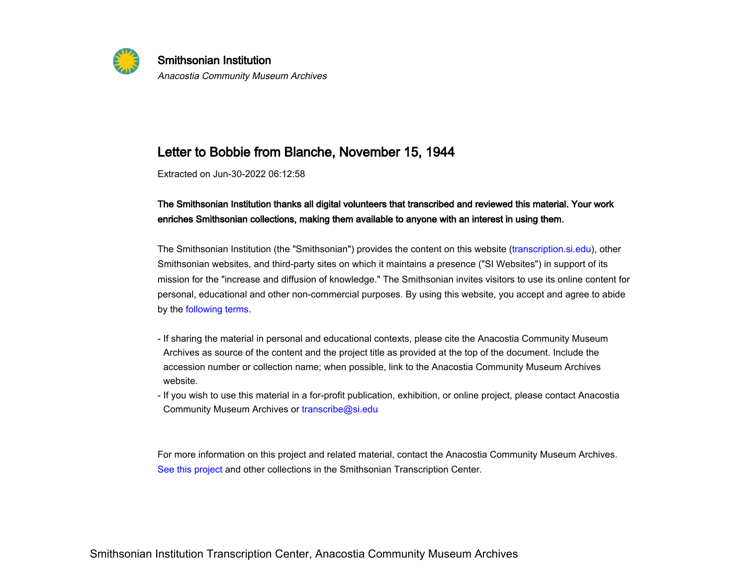

Smithsonian InstitutionAnacostia Community Museum Archives

## Letter to Bobbie from Blanche, November 15, 1944

Extracted on Jun-30-2022 06:12:58

The Smithsonian Institution thanks all digital volunteers that transcribed and reviewed this material. Your workenriches Smithsonian collections, making them available to anyone with an interest in using them.

The Smithsonian Institution (the "Smithsonian") provides the content on this website ([transcription.si.edu](https://transcription.si.edu)), otherSmithsonian websites, and third-party sites on which it maintains a presence ("SI Websites") in support of itsmission for the "increase and diffusion of knowledge." The Smithsonian invites visitors to use its online content forpersonal, educational and other non-commercial purposes. By using this website, you accept and agree to abideby the [following terms](https://www.si.edu/termsofuse).

- If sharing the material in personal and educational contexts, please cite the Anacostia Community Museum Archives as source of the content and the project title as provided at the top of the document. Include theaccession number or collection name; when possible, link to the Anacostia Community Museum Archiveswebsite.- ii snam<br>Archive<br>accessi<br>website
- If you wish to use this material in a for-profit publication, exhibition, or online project, please contact AnacostiaCommunity Museum Archives or transcribe@si.edu

 -For more information on this project and related material, contact the Anacostia Community Museum Archives.[See this project](https://transcription.si.edu/project/35108) and other collections in the Smithsonian Transcription Center.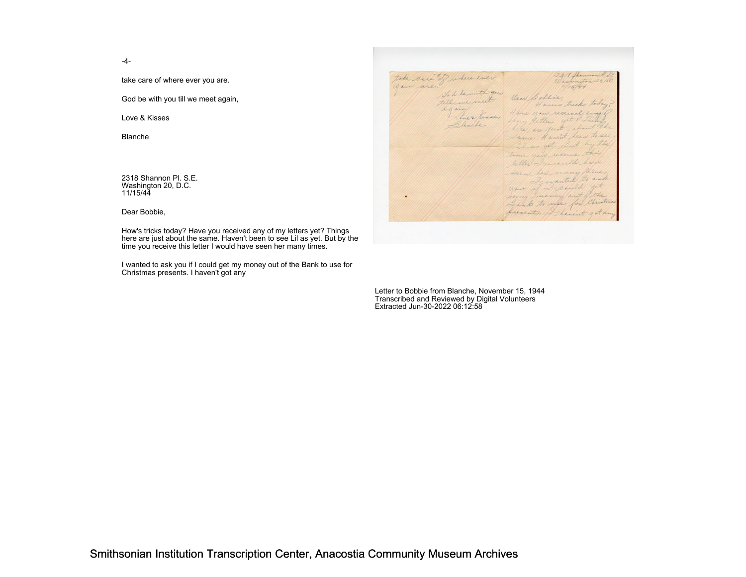-4-

take care of where ever you are.

God be with you till we meet again,

Love & Kisses

Blanche

2318 Shannon Pl. S.E.Washington 20, D.C.11/15/44

Dear Bobbie,

How's tricks today? Have you received any of my letters yet? Things here are just about the same. Haven't been to see Lil as yet. But by thetime you receive this letter I would have seen her many times.

I wanted to ask you if I could get my money out of the Bank to use for Christmas presents. I haven't got any

Letter to Bobbie from Blanche, November 15, 1944Transcribed and Reviewed by Digital VolunteersExtracted Jun-30-2022 06:12:58